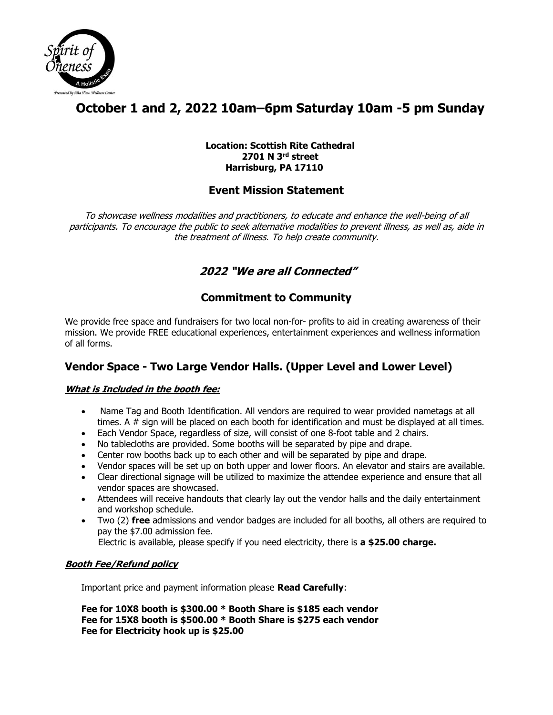

# **October 1 and 2, 2022 10am–6pm Saturday 10am -5 pm Sunday**

#### **Location: Scottish Rite Cathedral 2701 N 3rd street Harrisburg, PA 17110**

## **Event Mission Statement**

To showcase wellness modalities and practitioners, to educate and enhance the well-being of all participants. To encourage the public to seek alternative modalities to prevent illness, as well as, aide in the treatment of illness. To help create community.

# **2022 "We are all Connected"**

# **Commitment to Community**

We provide free space and fundraisers for two local non-for- profits to aid in creating awareness of their mission. We provide FREE educational experiences, entertainment experiences and wellness information of all forms.

## **Vendor Space - Two Large Vendor Halls. (Upper Level and Lower Level)**

### **What is Included in the booth fee:**

- Name Tag and Booth Identification. All vendors are required to wear provided nametags at all times. A # sign will be placed on each booth for identification and must be displayed at all times.
- Each Vendor Space, regardless of size, will consist of one 8-foot table and 2 chairs.
- No tablecloths are provided. Some booths will be separated by pipe and drape.
- Center row booths back up to each other and will be separated by pipe and drape.
- Vendor spaces will be set up on both upper and lower floors. An elevator and stairs are available.
- Clear directional signage will be utilized to maximize the attendee experience and ensure that all vendor spaces are showcased.
- Attendees will receive handouts that clearly lay out the vendor halls and the daily entertainment and workshop schedule.
- Two (2) **free** admissions and vendor badges are included for all booths, all others are required to pay the \$7.00 admission fee.

Electric is available, please specify if you need electricity, there is **a \$25.00 charge.**

### **Booth Fee/Refund policy**

Important price and payment information please **Read Carefully**:

**Fee for 10X8 booth is \$300.00 \* Booth Share is \$185 each vendor Fee for 15X8 booth is \$500.00 \* Booth Share is \$275 each vendor Fee for Electricity hook up is \$25.00**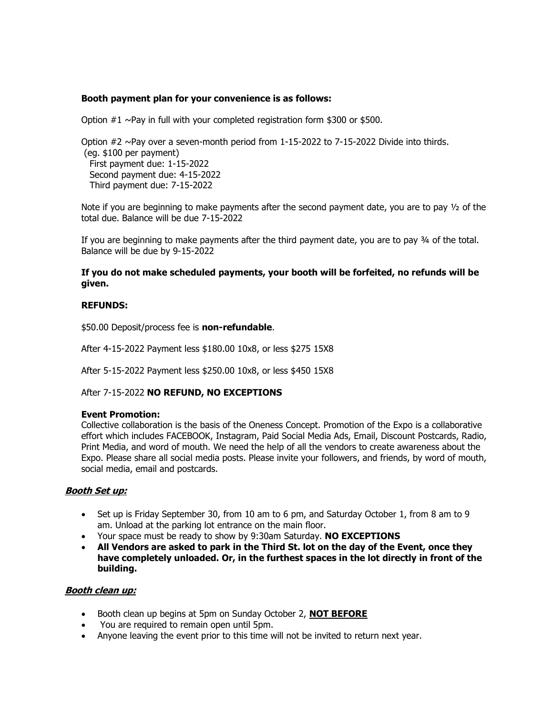#### **Booth payment plan for your convenience is as follows:**

Option  $#1 \sim$ Pay in full with your completed registration form \$300 or \$500.

Option  $#2 \sim$ Pay over a seven-month period from 1-15-2022 to 7-15-2022 Divide into thirds. (eg. \$100 per payment) First payment due: 1-15-2022 Second payment due: 4-15-2022 Third payment due: 7-15-2022

Note if you are beginning to make payments after the second payment date, you are to pay  $\frac{1}{2}$  of the total due. Balance will be due 7-15-2022

If you are beginning to make payments after the third payment date, you are to pay  $\frac{3}{4}$  of the total. Balance will be due by 9-15-2022

#### **If you do not make scheduled payments, your booth will be forfeited, no refunds will be given.**

#### **REFUNDS:**

\$50.00 Deposit/process fee is **non-refundable**.

After 4-15-2022 Payment less \$180.00 10x8, or less \$275 15X8

After 5-15-2022 Payment less \$250.00 10x8, or less \$450 15X8

After 7-15-2022 **NO REFUND, NO EXCEPTIONS**

#### **Event Promotion:**

Collective collaboration is the basis of the Oneness Concept. Promotion of the Expo is a collaborative effort which includes FACEBOOK, Instagram, Paid Social Media Ads, Email, Discount Postcards, Radio, Print Media, and word of mouth. We need the help of all the vendors to create awareness about the Expo. Please share all social media posts. Please invite your followers, and friends, by word of mouth, social media, email and postcards.

#### **Booth Set up:**

- Set up is Friday September 30, from 10 am to 6 pm, and Saturday October 1, from 8 am to 9 am. Unload at the parking lot entrance on the main floor.
- Your space must be ready to show by 9:30am Saturday. **NO EXCEPTIONS**
- **All Vendors are asked to park in the Third St. lot on the day of the Event, once they have completely unloaded. Or, in the furthest spaces in the lot directly in front of the building.**

#### **Booth clean up:**

- Booth clean up begins at 5pm on Sunday October 2, **NOT BEFORE**
- You are required to remain open until 5pm.
- Anyone leaving the event prior to this time will not be invited to return next year.